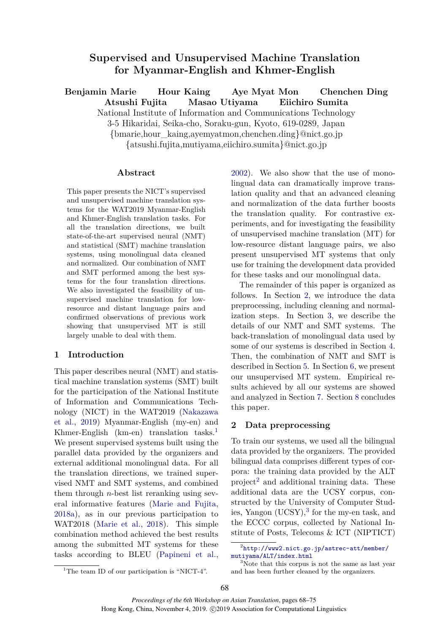# **Supervised and Unsupervised Machine Translation for Myanmar-English and Khmer-English**

**Benjamin Marie Hour Kaing Aye Myat Mon Chenchen Ding**

**Atsushi Fujita Masao Utiyama Eiichiro Sumita**

National Institute of Information and Communications Technology

3-5 Hikaridai, Seika-cho, Soraku-gun, Kyoto, 619-0289, Japan

{bmarie,hour\_kaing,ayemyatmon,chenchen.ding}@nict.go.jp

{atsushi.fujita,mutiyama,eiichiro.sumita}@nict.go.jp

### **Abstract**

This paper presents the NICT's supervised and unsupervised machine translation systems for the WAT2019 Myanmar-English and Khmer-English translation tasks. For all the translation directions, we built state-of-the-art supervised neural (NMT) and statistical (SMT) machine translation systems, using monolingual data cleaned and normalized. Our combination of NMT and SMT performed among the best systems for the four translation directions. We also investigated the feasibility of unsupervised machine translation for lowresource and distant language pairs and confirmed observations of previous work showing that unsupervised MT is still largely unable to deal with them.

# **1 Introduction**

This paper describes neural (NMT) and statistical machine translation systems (SMT) built for the participation of the National Institute of Information and Communications Technology (NICT) in the WAT2019 [\(Nakazawa](#page-6-0) [et al.](#page-6-0), [2019\)](#page-6-0) Myanmar-English (my-en) and Khmer-English (km-en) translation tasks.<sup>[1](#page-0-0)</sup> We present supervised systems built using the parallel data provided by the organizers and external additional monolingual data. For all the translation directions, we trained supervised NMT and SMT systems, and combined them through *n*-best list reranking using several informative features [\(Marie and Fujita](#page-6-1), [2018a](#page-6-1)), as in our previous participation to WAT2018 [\(Marie et al.,](#page-6-2) [2018\)](#page-6-2). This simple combination method achieved the best results among the submitted MT systems for these tasks according to BLEU ([Papineni et al.](#page-6-3),

[2002](#page-6-3)). We also show that the use of monolingual data can dramatically improve translation quality and that an advanced cleaning and normalization of the data further boosts the translation quality. For contrastive experiments, and for investigating the feasibility of unsupervised machine translation (MT) for low-resource distant language pairs, we also present unsupervised MT systems that only use for training the development data provided for these tasks and our monolingual data.

The remainder of this paper is organized as follows. In Section [2,](#page-0-1) we introduce the data preprocessing, including cleaning and normalization steps. In Section [3,](#page-3-0) we describe the details of our NMT and SMT systems. The back-translation of monolingual data used by some of our systems is described in Section [4.](#page-3-1) Then, the combination of NMT and SMT is described in Section [5](#page-3-2). In Section [6,](#page-4-0) we present our unsupervised MT system. Empirical results achieved by all our systems are showed and analyzed in Section [7.](#page-5-0) Section [8](#page-5-1) concludes this paper.

# <span id="page-0-1"></span>**2 Data preprocessing**

To train our systems, we used all the bilingual data provided by the organizers. The provided bilingual data comprises different types of corpora: the training data provided by the ALT project<sup>[2](#page-0-2)</sup> and additional training data. These additional data are the UCSY corpus, constructed by the University of Computer Studies, Yangon  $(UCSY)$ ,<sup>[3](#page-0-3)</sup> for the my-en task, and the ECCC corpus, collected by National Institute of Posts, Telecoms & ICT (NIPTICT)

<span id="page-0-3"></span>and has been further cleaned by the organizers.

<span id="page-0-2"></span><sup>2</sup> [http://www2.nict.go.jp/astrec-att/member/](http://www2.nict.go.jp/astrec-att/member/mutiyama/ALT/index.html) [mutiyama/ALT/index.html](http://www2.nict.go.jp/astrec-att/member/mutiyama/ALT/index.html) <sup>3</sup>Note that this corpus is not the same as last year

<span id="page-0-0"></span><sup>&</sup>lt;sup>1</sup>The team ID of our participation is "NICT-4".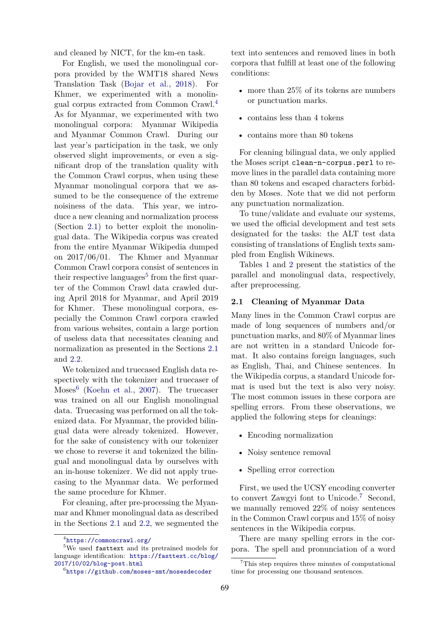and cleaned by NICT, for the km-en task.

For English, we used the monolingual corpora provided by the WMT18 shared News Translation Task [\(Bojar et al.](#page-6-4), [2018](#page-6-4)). For Khmer, we experimented with a monolingual corpus extracted from Common Crawl.[4](#page-1-0) As for Myanmar, we experimented with two monolingual corpora: Myanmar Wikipedia and Myanmar Common Crawl. During our last year's participation in the task, we only observed slight improvements, or even a significant drop of the translation quality with the Common Crawl corpus, when using these Myanmar monolingual corpora that we assumed to be the consequence of the extreme noisiness of the data. This year, we introduce a new cleaning and normalization process (Section [2.1](#page-1-1)) to better exploit the monolingual data. The Wikipedia corpus was created from the entire Myanmar Wikipedia dumped on 2017/06/01. The Khmer and Myanmar Common Crawl corpora consist of sentences in their respective languages<sup>[5](#page-1-2)</sup> from the first quarter of the Common Crawl data crawled during April 2018 for Myanmar, and April 2019 for Khmer. These monolingual corpora, especially the Common Crawl corpora crawled from various websites, contain a large portion of useless data that necessitates cleaning and normalization as presented in the Sections [2.1](#page-1-1) and [2.2](#page-2-0).

We tokenized and truecased English data respectively with the tokenizer and truecaser of  $Moses<sup>6</sup>$  $Moses<sup>6</sup>$  $Moses<sup>6</sup>$  ([Koehn et al.,](#page-6-5) [2007\)](#page-6-5). The truecaser was trained on all our English monolingual data. Truecasing was performed on all the tokenized data. For Myanmar, the provided bilingual data were already tokenized. However, for the sake of consistency with our tokenizer we chose to reverse it and tokenized the bilingual and monolingual data by ourselves with an in-house tokenizer. We did not apply truecasing to the Myanmar data. We performed the same procedure for Khmer.

For cleaning, after pre-processing the Myanmar and Khmer monolingual data as described in the Sections [2.1](#page-1-1) and [2.2](#page-2-0), we segmented the text into sentences and removed lines in both corpora that fulfill at least one of the following conditions:

- more than 25% of its tokens are numbers or punctuation marks.
- contains less than 4 tokens
- contains more than 80 tokens

For cleaning bilingual data, we only applied the Moses script clean-n-corpus.perl to remove lines in the parallel data containing more than 80 tokens and escaped characters forbidden by Moses. Note that we did not perform any punctuation normalization.

To tune/validate and evaluate our systems, we used the official development and test sets designated for the tasks: the ALT test data consisting of translations of English texts sampled from English Wikinews.

Tables [1](#page-2-1) and [2](#page-2-2) present the statistics of the parallel and monolingual data, respectively, after preprocessing.

#### <span id="page-1-1"></span>**2.1 Cleaning of Myanmar Data**

Many lines in the Common Crawl corpus are made of long sequences of numbers and/or punctuation marks, and 80% of Myanmar lines are not written in a standard Unicode format. It also contains foreign languages, such as English, Thai, and Chinese sentences. In the Wikipedia corpus, a standard Unicode format is used but the text is also very noisy. The most common issues in these corpora are spelling errors. From these observations, we applied the following steps for cleanings:

- Encoding normalization
- Noisy sentence removal
- Spelling error correction

First, we used the UCSY encoding converter to convert Zawgyi font to Unicode.[7](#page-1-4) Second, we manually removed 22% of noisy sentences in the Common Crawl corpus and 15% of noisy sentences in the Wikipedia corpus.

There are many spelling errors in the corpora. The spell and pronunciation of a word

<span id="page-1-2"></span><span id="page-1-0"></span><sup>4</sup> <https://commoncrawl.org/>

<sup>5</sup>We used fasttext and its pretrained models for language identification: [https://fasttext.cc/blog/](https://fasttext.cc/blog/2017/10/02/blog-post.html) [2017/10/02/blog-post.html](https://fasttext.cc/blog/2017/10/02/blog-post.html)

<span id="page-1-3"></span><sup>6</sup> <https://github.com/moses-smt/mosesdecoder>

<span id="page-1-4"></span><sup>&</sup>lt;sup>7</sup>This step requires three minutes of computational time for processing one thousand sentences.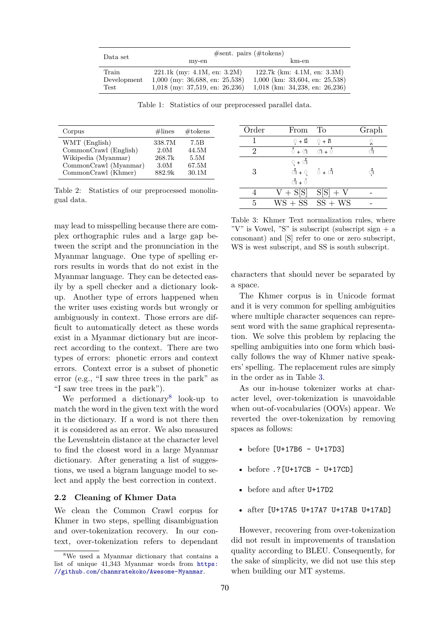<span id="page-2-1"></span>

| Data set             | #sent. pairs (# tokens)                                           |                                                                       |  |
|----------------------|-------------------------------------------------------------------|-----------------------------------------------------------------------|--|
|                      | my-en                                                             | km-en                                                                 |  |
| Train<br>Development | $221.1k$ (my: 4.1M, en: 3.2M)<br>$1,000$ (my: 36,688, en: 25,538) | 122.7k (km: $4.1M$ , en: $3.3M$ )<br>$1,000$ (km: 33,604, en: 25,538) |  |
| Test                 | $1,018$ (my: 37,519, en: 26,236)                                  | $1,018$ (km: 34,238, en: 26,236)                                      |  |

Table 1: Statistics of our preprocessed parallel data.

<span id="page-2-2"></span>

| Corpus                | $\#\text{lines}$ | $#$ tokens |
|-----------------------|------------------|------------|
| WMT (English)         | 338.7M           | 7.5B       |
| CommonCrawl (English) | 2.0M             | 44.5M      |
| Wikipedia (Myanmar)   | 268.7k           | 5.5M       |
| CommonCrawl (Myanmar) | 3.0M             | 67.5M      |
| CommonCrawl (Khmer)   | 882.9k           | 30.1M      |

Table 2: Statistics of our preprocessed monolingual data.

may lead to misspelling because there are complex orthographic rules and a large gap between the script and the pronunciation in the Myanmar language. One type of spelling errors results in words that do not exist in the Myanmar language. They can be detected easily by a spell checker and a dictionary lookup. Another type of errors happened when the writer uses existing words but wrongly or ambiguously in context. Those errors are difficult to automatically detect as these words exist in a Myanmar dictionary but are incorrect according to the context. There are two types of errors: phonetic errors and context errors. Context error is a subset of phonetic error (e.g., "I saw three trees in the park" as "I saw tree trees in the park").

We performed a dictionary<sup>[8](#page-2-3)</sup> look-up to match the word in the given text with the word in the dictionary. If a word is not there then it is considered as an error. We also measured the Levenshtein distance at the character level to find the closest word in a large Myanmar dictionary. After generating a list of suggestions, we used a bigram language model to select and apply the best correction in context.

### <span id="page-2-0"></span>**2.2 Cleaning of Khmer Data**

We clean the Common Crawl corpus for Khmer in two steps, spelling disambiguation and over-tokenization recovery. In our context, over-tokenization refers to dependant

<span id="page-2-4"></span>

| Order | From                                                                                            | $\Gamma$                     | Graph |
|-------|-------------------------------------------------------------------------------------------------|------------------------------|-------|
|       | ្ + ជ                                                                                           | $0 + \widehat{\mathfrak{n}}$ | ្គ    |
|       | ំ + $\circ$                                                                                     | $\pi + \sigma$               | ាំ    |
|       | ុ + ាំ                                                                                          |                              |       |
| 3     | $\mathring{\mathbb{O}} + \mathring{\mathbb{O}} = \mathring{\mathbb{O}} + \mathring{\mathbb{O}}$ |                              | ាំ    |
|       | $\mathring{\circ}$ + $\mathring{\circ}$                                                         |                              |       |
|       | $V + S[S]$                                                                                      | $S[S] + V$                   |       |
| 5     |                                                                                                 | $WS + SS$ SS + WS            |       |

Table 3: Khmer Text normalization rules, where "V" is Vowel, "S" is subscript (subscript sign  $+$  a consonant) and [S] refer to one or zero subscript, WS is west subscript, and SS is south subscript.

characters that should never be separated by a space.

The Khmer corpus is in Unicode format and it is very common for spelling ambiguities where multiple character sequences can represent word with the same graphical representation. We solve this problem by replacing the spelling ambiguities into one form which basically follows the way of Khmer native speakers' spelling. The replacement rules are simply in the order as in Table [3.](#page-2-4)

As our in-house tokenizer works at character level, over-tokenization is unavoidable when out-of-vocabularies (OOVs) appear. We reverted the over-tokenization by removing spaces as follows:

- before [U+17B6 U+17D3]
- before .?[U+17CB U+17CD]
- before and after U+17D2
- after [U+17A5 U+17A7 U+17AB U+17AD]

However, recovering from over-tokenization did not result in improvements of translation quality according to BLEU. Consequently, for the sake of simplicity, we did not use this step when building our MT systems.

<span id="page-2-3"></span><sup>8</sup>We used a Myanmar dictionary that contains a list of unique 41,343 Myanmar words from [https:](https://github.com/chanmratekoko/Awesome-Myanmar) [//github.com/chanmratekoko/Awesome-Myanmar](https://github.com/chanmratekoko/Awesome-Myanmar).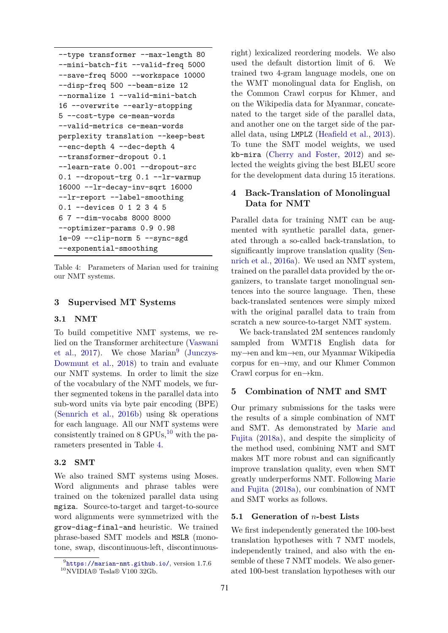```
--type transformer --max-length 80
--mini-batch-fit --valid-freq 5000
--save-freq 5000 --workspace 10000
--disp-freq 500 --beam-size 12
--normalize 1 --valid-mini-batch
16 --overwrite --early-stopping
5 --cost-type ce-mean-words
--valid-metrics ce-mean-words
perplexity translation --keep-best
--enc-depth 4 --dec-depth 4
--transformer-dropout 0.1
--learn-rate 0.001 --dropout-src
0.1 --dropout-trg 0.1 --lr-warmup
16000 --lr-decay-inv-sqrt 16000
--lr-report --label-smoothing
0.1 --devices 0 1 2 3 4 5
6 7 --dim-vocabs 8000 8000
--optimizer-params 0.9 0.98
1e-09 --clip-norm 5 --sync-sgd
--exponential-smoothing
```
Table 4: Parameters of Marian used for training our NMT systems.

### <span id="page-3-0"></span>**3 Supervised MT Systems**

### **3.1 NMT**

To build competitive NMT systems, we relied on the Transformer architecture [\(Vaswani](#page-7-0) [et al.](#page-7-0), [2017](#page-7-0)). We chose  $\text{Marian}^9$  $\text{Marian}^9$  [\(Junczys-](#page-6-6)[Dowmunt et al.](#page-6-6), [2018\)](#page-6-6) to train and evaluate our NMT systems. In order to limit the size of the vocabulary of the NMT models, we further segmented tokens in the parallel data into sub-word units via byte pair encoding (BPE) [\(Sennrich et al.](#page-7-1), [2016b\)](#page-7-1) using 8k operations for each language. All our NMT systems were consistently trained on  $8 \text{ GPUs}$ ,<sup>[10](#page-3-4)</sup> with the parameters presented in Table [4](#page-3-5).

#### **3.2 SMT**

We also trained SMT systems using Moses. Word alignments and phrase tables were trained on the tokenized parallel data using mgiza. Source-to-target and target-to-source word alignments were symmetrized with the grow-diag-final-and heuristic. We trained phrase-based SMT models and MSLR (monotone, swap, discontinuous-left, discontinuous-

right) lexicalized reordering models. We also used the default distortion limit of 6. We trained two 4-gram language models, one on the WMT monolingual data for English, on the Common Crawl corpus for Khmer, and on the Wikipedia data for Myanmar, concatenated to the target side of the parallel data, and another one on the target side of the parallel data, using LMPLZ [\(Heafield et al.,](#page-6-7) [2013](#page-6-7)). To tune the SMT model weights, we used kb-mira [\(Cherry and Foster,](#page-6-8) [2012](#page-6-8)) and selected the weights giving the best BLEU score for the development data during 15 iterations.

### <span id="page-3-1"></span>**4 Back-Translation of Monolingual Data for NMT**

Parallel data for training NMT can be augmented with synthetic parallel data, generated through a so-called back-translation, to significantly improve translation quality ([Sen](#page-7-2)[nrich et al.](#page-7-2), [2016a\)](#page-7-2). We used an NMT system, trained on the parallel data provided by the organizers, to translate target monolingual sentences into the source language. Then, these back-translated sentences were simply mixed with the original parallel data to train from scratch a new source-to-target NMT system.

We back-translated 2M sentences randomly sampled from WMT18 English data for my*→*en and km*→*en, our Myanmar Wikipedia corpus for en*→*my, and our Khmer Common Crawl corpus for en*→*km.

### <span id="page-3-2"></span>**5 Combination of NMT and SMT**

Our primary submissions for the tasks were the results of a simple combination of NMT and SMT. As demonstrated by [Marie and](#page-6-1) [Fujita](#page-6-1) ([2018a](#page-6-1)), and despite the simplicity of the method used, combining NMT and SMT makes MT more robust and can significantly improve translation quality, even when SMT greatly underperforms NMT. Following [Marie](#page-6-1) [and Fujita](#page-6-1) ([2018a\)](#page-6-1), our combination of NMT and SMT works as follows.

### **5.1 Generation of** *n***-best Lists**

We first independently generated the 100-best translation hypotheses with 7 NMT models, independently trained, and also with the ensemble of these 7 NMT models. We also generated 100-best translation hypotheses with our

<span id="page-3-4"></span><span id="page-3-3"></span><sup>9</sup> <https://marian-nmt.github.io/>, version 1.7.6  ${}^{10}\rm NVIDIA@$  Tesla® V100 32Gb.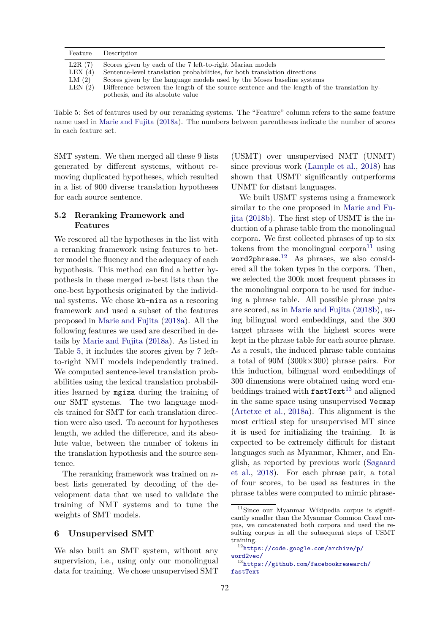<span id="page-4-1"></span>

| Feature                                   | Description                                                                                                                                                                                                                                                                                                                                        |
|-------------------------------------------|----------------------------------------------------------------------------------------------------------------------------------------------------------------------------------------------------------------------------------------------------------------------------------------------------------------------------------------------------|
| L2R(7)<br>LEX $(4)$<br>LM(2)<br>LEN $(2)$ | Scores given by each of the 7 left-to-right Marian models<br>Sentence-level translation probabilities, for both translation directions<br>Scores given by the language models used by the Moses baseline systems<br>Difference between the length of the source sentence and the length of the translation hy-<br>pothesis, and its absolute value |
|                                           |                                                                                                                                                                                                                                                                                                                                                    |

Table 5: Set of features used by our reranking systems. The "Feature" column refers to the same feature name used in [Marie and Fujita](#page-6-1) ([2018a\)](#page-6-1). The numbers between parentheses indicate the number of scores in each feature set.

SMT system. We then merged all these 9 lists generated by different systems, without removing duplicated hypotheses, which resulted in a list of 900 diverse translation hypotheses for each source sentence.

### **5.2 Reranking Framework and Features**

We rescored all the hypotheses in the list with a reranking framework using features to better model the fluency and the adequacy of each hypothesis. This method can find a better hypothesis in these merged *n*-best lists than the one-best hypothesis originated by the individual systems. We chose kb-mira as a rescoring framework and used a subset of the features proposed in [Marie and Fujita](#page-6-1) [\(2018a\)](#page-6-1). All the following features we used are described in details by [Marie and Fujita](#page-6-1) [\(2018a\)](#page-6-1). As listed in Table [5,](#page-4-1) it includes the scores given by 7 leftto-right NMT models independently trained. We computed sentence-level translation probabilities using the lexical translation probabilities learned by mgiza during the training of our SMT systems. The two language models trained for SMT for each translation direction were also used. To account for hypotheses length, we added the difference, and its absolute value, between the number of tokens in the translation hypothesis and the source sentence.

The reranking framework was trained on *n*best lists generated by decoding of the development data that we used to validate the training of NMT systems and to tune the weights of SMT models.

### <span id="page-4-0"></span>**6 Unsupervised SMT**

We also built an SMT system, without any supervision, i.e., using only our monolingual data for training. We chose unsupervised SMT

(USMT) over unsupervised NMT (UNMT) since previous work [\(Lample et al.,](#page-6-9) [2018\)](#page-6-9) has shown that USMT significantly outperforms UNMT for distant languages.

We built USMT systems using a framework similar to the one proposed in [Marie and Fu](#page-6-10)[jita](#page-6-10) ([2018b\)](#page-6-10). The first step of USMT is the induction of a phrase table from the monolingual corpora. We first collected phrases of up to six tokens from the monolingual corpora<sup>[11](#page-4-2)</sup> using word2phrase. [12](#page-4-3) As phrases, we also considered all the token types in the corpora. Then, we selected the 300k most frequent phrases in the monolingual corpora to be used for inducing a phrase table. All possible phrase pairs are scored, as in [Marie and Fujita](#page-6-10) [\(2018b](#page-6-10)), using bilingual word embeddings, and the 300 target phrases with the highest scores were kept in the phrase table for each source phrase. As a result, the induced phrase table contains a total of 90M (300k*×*300) phrase pairs. For this induction, bilingual word embeddings of 300 dimensions were obtained using word embeddings trained with  $\texttt{fastText}^{13}$  $\texttt{fastText}^{13}$  $\texttt{fastText}^{13}$  and aligned in the same space using unsupervised Vecmap ([Artetxe et al.](#page-6-11), [2018a](#page-6-11)). This alignment is the most critical step for unsupervised MT since it is used for initializing the training. It is expected to be extremely difficult for distant languages such as Myanmar, Khmer, and English, as reported by previous work [\(Søgaard](#page-7-3) [et al.](#page-7-3), [2018](#page-7-3)). For each phrase pair, a total of four scores, to be used as features in the phrase tables were computed to mimic phrase-

<span id="page-4-2"></span><sup>11</sup>Since our Myanmar Wikipedia corpus is significantly smaller than the Myanmar Common Crawl corpus, we concatenated both corpora and used the resulting corpus in all the subsequent steps of USMT training.

<span id="page-4-3"></span><sup>12</sup>[https://code.google.com/archive/p/](https://code.google.com/archive/p/word2vec/) [word2vec/](https://code.google.com/archive/p/word2vec/)

<span id="page-4-4"></span><sup>13</sup>[https://github.com/facebookresearch/](https://github.com/facebookresearch/fastText) [fastText](https://github.com/facebookresearch/fastText)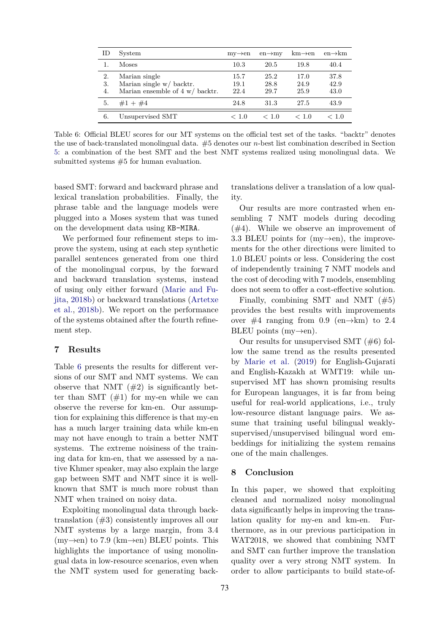<span id="page-5-2"></span>

| ID             | System                                                                                 | $mv{\rightarrow}en$  | $en \rightarrow mv$  | $km \rightarrow en$  | $en \rightarrow km$  |
|----------------|----------------------------------------------------------------------------------------|----------------------|----------------------|----------------------|----------------------|
|                | Moses                                                                                  | 10.3                 | 20.5                 | 19.8                 | 40.4                 |
| 2.<br>3.<br>4. | Marian single<br>Marian single w/ backtr.<br>Marian ensemble of $4 w / \text{backtr.}$ | 15.7<br>19.1<br>22.4 | 25.2<br>28.8<br>29.7 | 17.0<br>24.9<br>25.9 | 37.8<br>42.9<br>43.0 |
| 5.             | $#1 + #4$                                                                              | 24.8                 | 31.3                 | 27.5                 | 43.9                 |
| 6.             | Unsupervised SMT                                                                       | < 1.0                | < 1.0                | < 1.0                | < 1.0                |

Table 6: Official BLEU scores for our MT systems on the official test set of the tasks. "backtr" denotes the use of back-translated monolingual data. #5 denotes our *n*-best list combination described in Section [5:](#page-3-2) a combination of the best SMT and the best NMT systems realized using monolingual data. We submitted systems #5 for human evaluation.

based SMT: forward and backward phrase and lexical translation probabilities. Finally, the phrase table and the language models were plugged into a Moses system that was tuned on the development data using KB-MIRA.

We performed four refinement steps to improve the system, using at each step synthetic parallel sentences generated from one third of the monolingual corpus, by the forward and backward translation systems, instead of using only either forward [\(Marie and Fu](#page-6-10)[jita](#page-6-10), [2018b](#page-6-10)) or backward translations ([Artetxe](#page-6-12) [et al.,](#page-6-12) [2018b](#page-6-12)). We report on the performance of the systems obtained after the fourth refinement step.

### <span id="page-5-0"></span>**7 Results**

Table [6](#page-5-2) presents the results for different versions of our SMT and NMT systems. We can observe that NMT  $(\#2)$  is significantly better than SMT  $(\#1)$  for my-en while we can observe the reverse for km-en. Our assumption for explaining this difference is that my-en has a much larger training data while km-en may not have enough to train a better NMT systems. The extreme noisiness of the training data for km-en, that we assessed by a native Khmer speaker, may also explain the large gap between SMT and NMT since it is wellknown that SMT is much more robust than NMT when trained on noisy data.

Exploiting monolingual data through backtranslation (#3) consistently improves all our NMT systems by a large margin, from 3.4 (my*→*en) to 7.9 (km*→*en) BLEU points. This highlights the importance of using monolingual data in low-resource scenarios, even when the NMT system used for generating back-

translations deliver a translation of a low quality.

Our results are more contrasted when ensembling 7 NMT models during decoding (#4). While we observe an improvement of 3.3 BLEU points for (my*→*en), the improvements for the other directions were limited to 1.0 BLEU points or less. Considering the cost of independently training 7 NMT models and the cost of decoding with 7 models, ensembling does not seem to offer a cost-effective solution.

Finally, combining SMT and NMT (#5) provides the best results with improvements over  $\#4$  ranging from 0.9 (en $\rightarrow$ km) to 2.4 BLEU points (my*→*en).

Our results for unsupervised SMT  $(\#6)$  follow the same trend as the results presented by [Marie et al.](#page-6-13) [\(2019\)](#page-6-13) for English-Gujarati and English-Kazakh at WMT19: while unsupervised MT has shown promising results for European languages, it is far from being useful for real-world applications, i.e., truly low-resource distant language pairs. We assume that training useful bilingual weaklysupervised/unsupervised bilingual word embeddings for initializing the system remains one of the main challenges.

### <span id="page-5-1"></span>**8 Conclusion**

In this paper, we showed that exploiting cleaned and normalized noisy monolingual data significantly helps in improving the translation quality for my-en and km-en. Furthermore, as in our previous participation in WAT2018, we showed that combining NMT and SMT can further improve the translation quality over a very strong NMT system. In order to allow participants to build state-of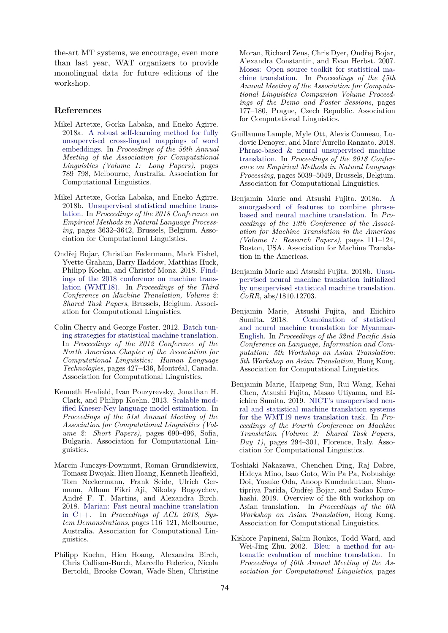the-art MT systems, we encourage, even more than last year, WAT organizers to provide monolingual data for future editions of the workshop.

### **References**

- <span id="page-6-11"></span>Mikel Artetxe, Gorka Labaka, and Eneko Agirre. 2018a. [A robust self-learning method for fully](https://aclweb.org/anthology/P18-1073) [unsupervised cross-lingual mappings of word](https://aclweb.org/anthology/P18-1073) [embeddings.](https://aclweb.org/anthology/P18-1073) In *Proceedings of the 56th Annual Meeting of the Association for Computational Linguistics (Volume 1: Long Papers)*, pages 789–798, Melbourne, Australia. Association for Computational Linguistics.
- <span id="page-6-12"></span>Mikel Artetxe, Gorka Labaka, and Eneko Agirre. 2018b. [Unsupervised statistical machine trans](https://aclweb.org/anthology/D18-1399)[lation.](https://aclweb.org/anthology/D18-1399) In *Proceedings of the 2018 Conference on Empirical Methods in Natural Language Processing*, pages 3632–3642, Brussels, Belgium. Association for Computational Linguistics.
- <span id="page-6-4"></span>Ondřej Bojar, Christian Federmann, Mark Fishel, Yvette Graham, Barry Haddow, Matthias Huck, Philipp Koehn, and Christof Monz. 2018. [Find](https://aclweb.org/anthology/W18-6401)[ings of the 2018 conference on machine trans](https://aclweb.org/anthology/W18-6401)[lation \(WMT18\).](https://aclweb.org/anthology/W18-6401) In *Proceedings of the Third Conference on Machine Translation, Volume 2: Shared Task Papers*, Brussels, Belgium. Association for Computational Linguistics.
- <span id="page-6-8"></span>Colin Cherry and George Foster. 2012. [Batch tun](http://aclweb.org/anthology/N12-1047)[ing strategies for statistical machine translation](http://aclweb.org/anthology/N12-1047). In *Proceedings of the 2012 Conference of the North American Chapter of the Association for Computational Linguistics: Human Language Technologies*, pages 427–436, Montréal, Canada. Association for Computational Linguistics.
- <span id="page-6-7"></span>Kenneth Heafield, Ivan Pouzyrevsky, Jonathan H. Clark, and Philipp Koehn. 2013. [Scalable mod](http://aclweb.org/anthology/P13-2121)[ified Kneser-Ney language model estimation](http://aclweb.org/anthology/P13-2121). In *Proceedings of the 51st Annual Meeting of the Association for Computational Linguistics (Volume 2: Short Papers)*, pages 690–696, Sofia, Bulgaria. Association for Computational Linguistics.
- <span id="page-6-6"></span>Marcin Junczys-Dowmunt, Roman Grundkiewicz, Tomasz Dwojak, Hieu Hoang, Kenneth Heafield, Tom Neckermann, Frank Seide, Ulrich Germann, Alham Fikri Aji, Nikolay Bogoychev, André F. T. Martins, and Alexandra Birch. 2018. [Marian: Fast neural machine translation](http://aclweb.org/anthology/P18-4020) [in C++](http://aclweb.org/anthology/P18-4020). In *Proceedings of ACL 2018, System Demonstrations*, pages 116–121, Melbourne, Australia. Association for Computational Linguistics.
- <span id="page-6-5"></span>Philipp Koehn, Hieu Hoang, Alexandra Birch, Chris Callison-Burch, Marcello Federico, Nicola Bertoldi, Brooke Cowan, Wade Shen, Christine

Moran, Richard Zens, Chris Dyer, Ondřej Bojar, Alexandra Constantin, and Evan Herbst. 2007. [Moses: Open source toolkit for statistical ma](http://aclweb.org/anthology/P07-2045)[chine translation.](http://aclweb.org/anthology/P07-2045) In *Proceedings of the 45th Annual Meeting of the Association for Computational Linguistics Companion Volume Proceedings of the Demo and Poster Sessions*, pages 177–180, Prague, Czech Republic. Association for Computational Linguistics.

- <span id="page-6-9"></span>Guillaume Lample, Myle Ott, Alexis Conneau, Ludovic Denoyer, and Marc'Aurelio Ranzato. 2018. [Phrase-based & neural unsupervised machine](https://aclweb.org/anthology/D18-1549) [translation](https://aclweb.org/anthology/D18-1549). In *Proceedings of the 2018 Conference on Empirical Methods in Natural Language Processing*, pages 5039–5049, Brussels, Belgium. Association for Computational Linguistics.
- <span id="page-6-1"></span>Benjamin Marie and Atsushi Fujita. 2018a. [A](http://aclweb.org/anthology/W18-1811) [smorgasbord of features to combine phrase](http://aclweb.org/anthology/W18-1811)[based and neural machine translation](http://aclweb.org/anthology/W18-1811). In *Proceedings of the 13th Conference of the Association for Machine Translation in the Americas (Volume 1: Research Papers)*, pages 111–124, Boston, USA. Association for Machine Translation in the Americas.
- <span id="page-6-10"></span>Benjamin Marie and Atsushi Fujita. 2018b. [Unsu](http://arxiv.org/abs/1810.12703)[pervised neural machine translation initialized](http://arxiv.org/abs/1810.12703) [by unsupervised statistical machine translation.](http://arxiv.org/abs/1810.12703) *CoRR*, abs/1810.12703.
- <span id="page-6-2"></span>Benjamin Marie, Atsushi Fujita, and Eiichiro Sumita. 2018. [Combination of statistical](https://aclweb.org/anthology/Y18-3007) [and neural machine translation for Myanmar-](https://aclweb.org/anthology/Y18-3007)[English](https://aclweb.org/anthology/Y18-3007). In *Proceedings of the 32nd Pacific Asia Conference on Language, Information and Computation: 5th Workshop on Asian Translation: 5th Workshop on Asian Translation*, Hong Kong. Association for Computational Linguistics.
- <span id="page-6-13"></span>Benjamin Marie, Haipeng Sun, Rui Wang, Kehai Chen, Atsushi Fujita, Masao Utiyama, and Eiichiro Sumita. 2019. [NICT's unsupervised neu](https://aclweb.org/anthology/W19-5330)[ral and statistical machine translation systems](https://aclweb.org/anthology/W19-5330) [for the WMT19 news translation task](https://aclweb.org/anthology/W19-5330). In *Proceedings of the Fourth Conference on Machine Translation (Volume 2: Shared Task Papers, Day 1)*, pages 294–301, Florence, Italy. Association for Computational Linguistics.
- <span id="page-6-0"></span>Toshiaki Nakazawa, Chenchen Ding, Raj Dabre, Hideya Mino, Isao Goto, Win Pa Pa, Nobushige Doi, Yusuke Oda, Anoop Kunchukuttan, Shantipriya Parida, Ondřej Bojar, and Sadao Kurohashi. 2019. Overview of the 6th workshop on Asian translation. In *Proceedings of the 6th Workshop on Asian Translation*, Hong Kong. Association for Computational Linguistics.
- <span id="page-6-3"></span>Kishore Papineni, Salim Roukos, Todd Ward, and Wei-Jing Zhu. 2002. [Bleu: a method for au](http://aclweb.org/anthology/P02-1040)[tomatic evaluation of machine translation](http://aclweb.org/anthology/P02-1040). In *Proceedings of 40th Annual Meeting of the Association for Computational Linguistics*, pages